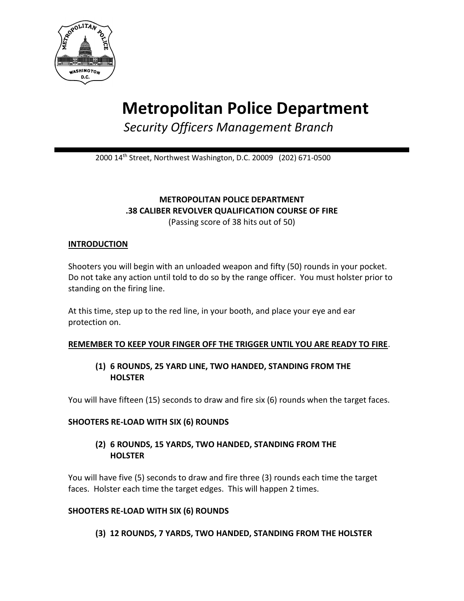

# **Metropolitan Police Department**

*Security Officers Management Branch*

2000 14th Street, Northwest Washington, D.C. 20009 (202) 671-0500

## **METROPOLITAN POLICE DEPARTMENT .38 CALIBER REVOLVER QUALIFICATION COURSE OF FIRE** (Passing score of 38 hits out of 50)

## **INTRODUCTION**

Shooters you will begin with an unloaded weapon and fifty (50) rounds in your pocket. Do not take any action until told to do so by the range officer. You must holster prior to standing on the firing line.

At this time, step up to the red line, in your booth, and place your eye and ear protection on.

## **REMEMBER TO KEEP YOUR FINGER OFF THE TRIGGER UNTIL YOU ARE READY TO FIRE**.

# **(1) 6 ROUNDS, 25 YARD LINE, TWO HANDED, STANDING FROM THE HOLSTER**

You will have fifteen (15) seconds to draw and fire six (6) rounds when the target faces.

## **SHOOTERS RE-LOAD WITH SIX (6) ROUNDS**

# **(2) 6 ROUNDS, 15 YARDS, TWO HANDED, STANDING FROM THE HOLSTER**

You will have five (5) seconds to draw and fire three (3) rounds each time the target faces. Holster each time the target edges. This will happen 2 times.

## **SHOOTERS RE-LOAD WITH SIX (6) ROUNDS**

**(3) 12 ROUNDS, 7 YARDS, TWO HANDED, STANDING FROM THE HOLSTER**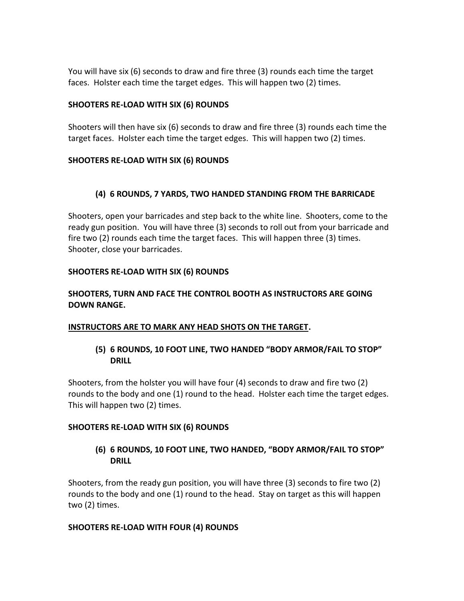You will have six (6) seconds to draw and fire three (3) rounds each time the target faces. Holster each time the target edges. This will happen two (2) times.

#### **SHOOTERS RE-LOAD WITH SIX (6) ROUNDS**

Shooters will then have six (6) seconds to draw and fire three (3) rounds each time the target faces. Holster each time the target edges. This will happen two (2) times.

## **SHOOTERS RE-LOAD WITH SIX (6) ROUNDS**

# **(4) 6 ROUNDS, 7 YARDS, TWO HANDED STANDING FROM THE BARRICADE**

Shooters, open your barricades and step back to the white line. Shooters, come to the ready gun position. You will have three (3) seconds to roll out from your barricade and fire two (2) rounds each time the target faces. This will happen three (3) times. Shooter, close your barricades.

#### **SHOOTERS RE-LOAD WITH SIX (6) ROUNDS**

## **SHOOTERS, TURN AND FACE THE CONTROL BOOTH AS INSTRUCTORS ARE GOING DOWN RANGE.**

## **INSTRUCTORS ARE TO MARK ANY HEAD SHOTS ON THE TARGET.**

**(5) 6 ROUNDS, 10 FOOT LINE, TWO HANDED "BODY ARMOR/FAIL TO STOP" DRILL**

Shooters, from the holster you will have four (4) seconds to draw and fire two (2) rounds to the body and one (1) round to the head. Holster each time the target edges. This will happen two (2) times.

#### **SHOOTERS RE-LOAD WITH SIX (6) ROUNDS**

**(6) 6 ROUNDS, 10 FOOT LINE, TWO HANDED, "BODY ARMOR/FAIL TO STOP" DRILL**

Shooters, from the ready gun position, you will have three (3) seconds to fire two (2) rounds to the body and one (1) round to the head. Stay on target as this will happen two (2) times.

#### **SHOOTERS RE-LOAD WITH FOUR (4) ROUNDS**